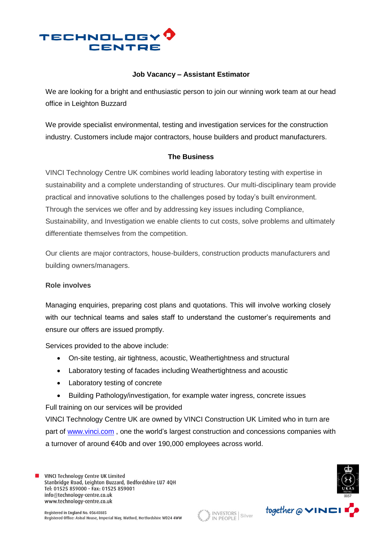

## **Job Vacancy – Assistant Estimator**

We are looking for a bright and enthusiastic person to join our winning work team at our head office in Leighton Buzzard

We provide specialist environmental, testing and investigation services for the construction industry. Customers include major contractors, house builders and product manufacturers.

# **The Business**

VINCI Technology Centre UK combines world leading laboratory testing with expertise in sustainability and a complete understanding of structures. Our multi-disciplinary team provide practical and innovative solutions to the challenges posed by today's built environment. Through the services we offer and by addressing key issues including Compliance, Sustainability, and Investigation we enable clients to cut costs, solve problems and ultimately differentiate themselves from the competition.

Our clients are major contractors, house-builders, construction products manufacturers and building owners/managers.

#### **Role involves**

Managing enquiries, preparing cost plans and quotations. This will involve working closely with our technical teams and sales staff to understand the customer's requirements and ensure our offers are issued promptly.

Services provided to the above include:

- On-site testing, air tightness, acoustic, Weathertightness and structural
- Laboratory testing of facades including Weathertightness and acoustic
- Laboratory testing of concrete
- Building Pathology/investigation, for example water ingress, concrete issues

Full training on our services will be provided

VINCI Technology Centre UK are owned by VINCI Construction UK Limited who in turn are part of [www.vinci.com](http://www.vinci.com/) , one the world's largest construction and concessions companies with a turnover of around €40b and over 190,000 employees across world.

VINCI Technology Centre UK Limited Stanbridge Road, Leighton Buzzard, Bedfordshire LU7 4QH Tel: 01525 859000 - Fax: 01525 859001 info@technology-centre.co.uk www.technology-centre.co.uk